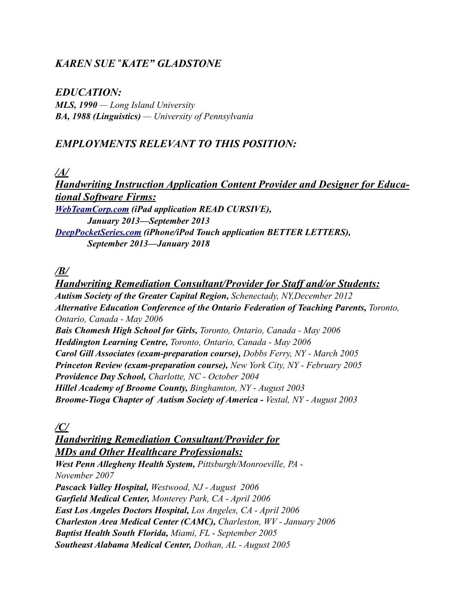## *KAREN SUE* !*KATE" GLADSTONE*

#### *EDUCATION:*

*MLS, 1990 — Long Island University BA, 1988 (Linguistics) — University of Pennsylvania*

#### *EMPLOYMENTS RELEVANT TO THIS POSITION:*

*/A/*

*Handwriting Instruction Application Content Provider and Designer for Educational Software Firms: [WebTeamCorp.com](http://webteamcorp.com/) (iPad application READ CURSIVE), January 2013—September 2013 [DeepPocketSeries.com](http://deeppocketseries.com/) (iPhone/iPod Touch application BETTER LETTERS), September 2013—January 2018*

#### */B/*

*Handwriting Remediation Consultant/Provider for Staff and/or Students: Autism Society of the Greater Capital Region, Schenectady, NY,December 2012 Alternative Education Conference of the Ontario Federation of Teaching Parents, Toronto, Ontario, Canada - May 2006 Bais Chomesh High School for Girls, Toronto, Ontario, Canada - May 2006 Heddington Learning Centre, Toronto, Ontario, Canada - May 2006 Carol Gill Associates (exam-preparation course), Dobbs Ferry, NY - March 2005 Princeton Review (exam-preparation course), New York City, NY - February 2005 Providence Day School, Charlotte, NC - October 2004 Hillel Academy of Broome County, Binghamton, NY - August 2003 Broome-Tioga Chapter of Autism Society of America - Vestal, NY - August 2003*

*/C/*

# *Handwriting Remediation Consultant/Provider for MDs and Other Healthcare Professionals:*

*West Penn Allegheny Health System, Pittsburgh/Monroeville, PA - November 2007 Pascack Valley Hospital, Westwood, NJ - August 2006 Garfield Medical Center, Monterey Park, CA - April 2006 East Los Angeles Doctors Hospital, Los Angeles, CA - April 2006 Charleston Area Medical Center (CAMC), Charleston, WV - January 2006 Baptist Health South Florida, Miami, FL - September 2005 Southeast Alabama Medical Center, Dothan, AL - August 2005*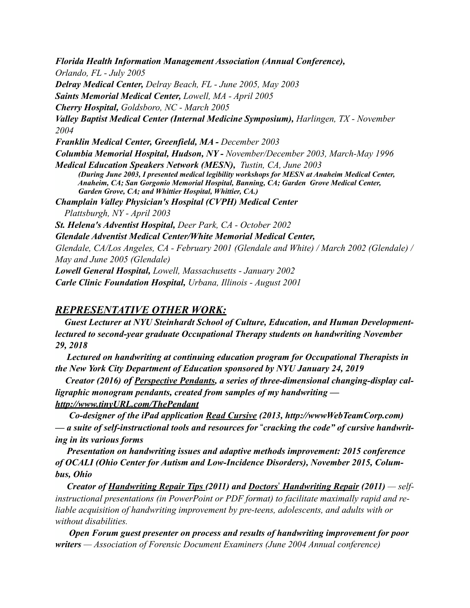*Florida Health Information Management Association (Annual Conference), Orlando, FL - July 2005 Delray Medical Center, Delray Beach, FL - June 2005, May 2003 Saints Memorial Medical Center, Lowell, MA - April 2005 Cherry Hospital, Goldsboro, NC - March 2005 Valley Baptist Medical Center (Internal Medicine Symposium), Harlingen, TX - November 2004 Franklin Medical Center, Greenfield, MA - December 2003 Columbia Memorial Hospital, Hudson, NY - November/December 2003, March-May 1996 Medical Education Speakers Network (MESN), Tustin, CA, June 2003 (During June 2003, I presented medical legibility workshops for MESN at Anaheim Medical Center, Anaheim, CA; San Gorgonio Memorial Hospital, Banning, CA; Garden Grove Medical Center, Garden Grove, CA; and Whittier Hospital, Whittier, CA.) Champlain Valley Physician's Hospital (CVPH) Medical Center Plattsburgh, NY - April 2003 St. Helena's Adventist Hospital, Deer Park, CA - October 2002 Glendale Adventist Medical Center/White Memorial Medical Center, Glendale, CA/Los Angeles, CA - February 2001 (Glendale and White) / March 2002 (Glendale) / May and June 2005 (Glendale) Lowell General Hospital, Lowell, Massachusetts - January 2002 Carle Clinic Foundation Hospital, Urbana, Illinois - August 2001*

#### *REPRESENTATIVE OTHER WORK:*

 *Guest Lecturer at NYU Steinhardt School of Culture, Education, and Human Developmentlectured to second-year graduate Occupational Therapy students on handwriting November 29, 2018*

 *Lectured on handwriting at continuing education program for Occupational Therapists in the New York City Department of Education sponsored by NYU January 24, 2019*

 *Creator (2016) of Perspective Pendants, a series of three-dimensional changing-display calligraphic monogram pendants, created from samples of my handwriting <http://www.tinyURL.com/ThePendant>*

 *Co-designer of the iPad application Read Cursive (2013, http://wwwWebTeamCorp.com)*   $-a$  suite of self-instructional tools and resources for "cracking the code" of cursive handwrit*ing in its various forms*

 *Presentation on handwriting issues and adaptive methods improvement: 2015 conference of OCALI (Ohio Center for Autism and Low-Incidence Disorders), November 2015, Columbus, Ohio*

 *Creator of Handwriting Repair Tips (2011) and Doctors*" *Handwriting Repair (2011) — selfinstructional presentations (in PowerPoint or PDF format) to facilitate maximally rapid and reliable acquisition of handwriting improvement by pre-teens, adolescents, and adults with or without disabilities.*

 *Open Forum guest presenter on process and results of handwriting improvement for poor writers — Association of Forensic Document Examiners (June 2004 Annual conference)*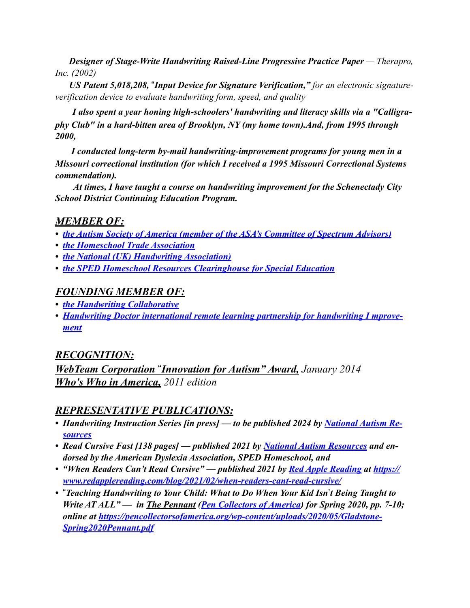*Designer of Stage-Write Handwriting Raised-Line Progressive Practice Paper* **— Therapro,** *Inc. (2002)*

*US Patent 5,018,208, "Input Device for Signature Verification," for an electronic signatureverification device to evaluate handwriting form, speed, and quality*

*I also spent a year honing high-schoolers' handwriting and literacy skills via a "Calligraphy Club" in a hard-bitten area of Brooklyn, NY (my home town).And, from 1995 through 2000,*

 *I conducted long-term by-mail handwriting-improvement programs for young men in a Missouri correctional institution (for which I received a 1995 Missouri Correctional Systems commendation).*

 *At times, I have taught a course on handwriting improvement for the Schenectady City School District Continuing Education Program.*

# *MEMBER OF:*

- *• [the Autism Society of America \(member of the ASA's Committee of Spectrum Advisors\)](http://www.apple.com)*
- *• [the Homeschool Trade Association](https://hta13.wildapricot.org)*
- *• [the National \(UK\) Handwriting Association](http://nha-assoc.org.uk))*
- *• the SPED Homeschool Resources Clearinghouse for Special Education*

# *FOUNDING MEMBER OF:*

- *• [the Handwriting Collaborative](http://HandwritingCollaborative.org)*
- *• [Handwriting Doctor international remote learning partnership for handwriting I mprove](http://HandwritingDoctor.com)[ment](http://HandwritingDoctor.com)*

# *RECOGNITION:*

*WebTeam Corporation "Innovation for Autism" Award, January 2014 Who's Who in America, 2011 edition*

# *REPRESENTATIVE PUBLICATIONS:*

- *Handwriting Instruction Series [in press] to be published 2024 by [National Autism Re](http://NationalAutismResources.com)[sources](http://NationalAutismResources.com)*
- *• Read Cursive Fast [138 pages] published 2021 by [National Autism Resources](http://NationalAutismResources.com) and endorsed by the American Dyslexia Association, SPED Homeschool, and*
- *• "When Readers Can't Read Cursive" published 2021 by [Red Apple Reading](http://readapplereading.com) at https:// www.redapplereading.com/blog/2021/02/when-readers-cant-read-cursive/*
- *•* !*Teaching Handwriting to Your Child: What to Do When Your Kid Isn*"*t Being Taught to Write AT ALL*<sup>"</sup> — *in <u>The Pennant (Pen Collectors of America</u>) for Spring 2020, pp. 7-10; online at [https://pencollectorsofamerica.org/wp-content/uploads/2020/05/Gladstone](https://pencollectorsofamerica.org/wp-content/uploads/2020/05/GladstoneSpring2020Pennant.pdf)-[Spring2020Pennant.pdf](https://pencollectorsofamerica.org/wp-content/uploads/2020/05/GladstoneSpring2020Pennant.pdf)*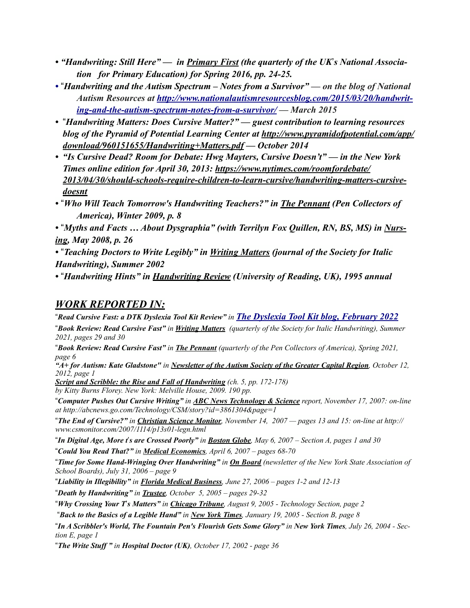- *"Handwriting: Still Here" in Primary First (the quarterly of the UK*"*s National Association for Primary Education) for Spring 2016, pp. 24-25.*
- !*Handwriting and the Autism Spectrum Notes from a Survivor" on the blog of National Autism Resources at [http://www.nationalautismresourcesblog.com/2015/03/20/handwrit](http://www.nationalautismresourcesblog.com/2015/03/20/handwriting-and-the-autism-spectrum-notes-from-a-survivor/)[ing-and-the-autism-spectrum-notes-from-a-survivor/](http://www.nationalautismresourcesblog.com/2015/03/20/handwriting-and-the-autism-spectrum-notes-from-a-survivor/) — March 2015*
- *•* !*Handwriting Matters: Does Cursive Matter?" guest contribution to learning resources blog of the Pyramid of Potential Learning Center at http://www.pyramidofpotential.com/app/ download/960151655/Handwriting+Matters.pdf — October 2014*
- *• "Is Cursive Dead? Room for Debate: Hwg Mayters, Cursive Doesn't" in the New York Times online edition for April 30, 2013: https://www.nytimes.com/roomfordebate/ 2013/04/30/should-schools-require-children-to-learn-cursive/handwriting-matters-cursivedoesnt*
- !*Who Will Teach Tomorrow's Handwriting Teachers?" in The Pennant (Pen Collectors of America), Winter 2009, p. 8*

• "Myths and Facts ... About Dysgraphia" (with Terrilyn Fox Quillen, RN, BS, MS) in Nurs*ing, May 2008, p. 26*

*•* !*Teaching Doctors to Write Legibly" in Writing Matters (journal of the Society for Italic Handwriting), Summer 2002*

*•* !*Handwriting Hints" in Handwriting Review (University of Reading, UK), 1995 annual*

### *WORK REPORTED IN:*

!*Read Cursive Fast: a DTK Dyslexia Tool Kit Review" in [The Dyslexia Tool Kit blog, February 2022](https://www.dyslexiakit.net/read-cursive-fast-a-dtk-book-review/)*

!*Book Review: Read Cursive Fast" in Writing Matters (quarterly of the Society for Italic Handwriting), Summer 2021, pages 29 and 30*

!*Book Review: Read Cursive Fast" in The Pennant (quarterly of the Pen Collectors of America), Spring 2021, page 6*

*"A+ for Autism: Kate Gladstone" in Newsletter of the Autism Society of the Greater Capital Region, October 12, 2012, page 1*

*Script and Scribble: the Rise and Fall of Handwriting (ch. 5, pp. 172-178) by Kitty Burns Florey. New York: Melville House, 2009. 190 pp.*

!*Computer Pushes Out Cursive Writing" in ABC News Technology & Science report, November 17, 2007: on-line at http://abcnews.go.com/Technology/CSM/story?id=3861304&page=1*

!*The End of Cursive?" in Christian Science Monitor, November 14, 2007 — pages 13 and 15: on-line at http:// www.csmonitor.com/2007/1114/p13s01-legn.html*

!*In Digital Age, More t*"*s are Crossed Poorly" in Boston Globe, May 6, 2007 – Section A, pages 1 and 30* !*Could You Read That?" in Medical Economics, April 6, 2007 – pages 68-70*

!*Time for Some Hand-Wringing Over Handwriting" in On Board (newsletter of the New York State Association of School Boards), July 31, 2006 – page 9*

!*Liability in Illegibility" in Florida Medical Business, June 27, 2006 – pages 1-2 and 12-13*

!*Death by Handwriting" in Trustee, October 5, 2005 – pages 29-32*

!*Why Crossing Your T*"*s Matters" in Chicago Tribune, August 9, 2005 - Technology Section, page 2*

!*Back to the Basics of a Legible Hand" in New York Times, January 19, 2005 - Section B, page 8*

!*In A Scribbler's World, The Fountain Pen's Flourish Gets Some Glory" in New York Times, July 26, 2004 - Section E, page 1*

!*The Write Stuff " in Hospital Doctor (UK), October 17, 2002 - page 36*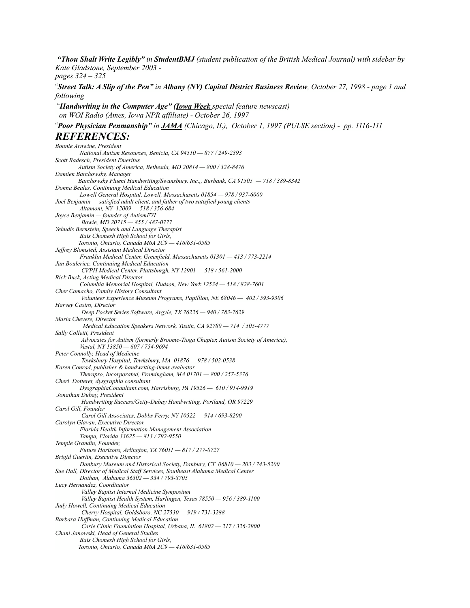*"Thou Shalt Write Legibly" in StudentBMJ (student publication of the British Medical Journal) with sidebar by Kate Gladstone, September 2003 pages 324 – 325*

!*Street Talk: A Slip of the Pen" in Albany (NY) Capital District Business Review, October 27, 1998 - page 1 and following*

!*Handwriting in the Computer Age" (Iowa Week special feature newscast) on WOI Radio (Ames, Iowa NPR affiliate) - October 26, 1997*

!*Poor Physician Penmanship" in JAMA (Chicago, IL), October 1, 1997 (PULSE section) - pp. 1116-111*

#### *REFERENCES:*

*Bonnie Arnwine, President National Autism Resources, Benicia, CA 94510 — 877 / 249-2393 Scott Badesch, President Emeritus Autism Society of America, Bethesda, MD 20814 — 800 / 328-8476 Damien Barchowsky, Manager Barchowsky Fluent Handwriting/Swansbury, Inc.,, Burbank, CA 91505 — 718 / 389-8342 Donna Beales, Continuing Medical Education Lowell General Hospital, Lowell, Massachusetts 01854 — 978 / 937-6000 Joel Benjamin — satisfied adult client, and father of two satisfied young clients Altamont, NY 12009 — 518 / 356-684 Joyce Benjamin — founder of AutismFYI Bowie, MD 20715 — 855 / 487-0777 Yehudis Bernstein, Speech and Language Therapist Bais Chomesh High School for Girls, Toronto, Ontario, Canada M6A 2C9 — 416/631-0585 Jeffrey Blomsted, Assistant Medical Director Franklin Medical Center, Greenfield, Massachusetts 01301 — 413 / 773-2214 Jan Boulerice, Continuing Medical Education CVPH Medical Center, Plattsburgh, NY 12901 — 518 / 561-2000 Rick Buck, Acting Medical Director Columbia Memorial Hospital, Hudson, New York 12534 — 518 / 828-7601 Cher Camacho, Family History Consultant Volunteer Experience Museum Programs, Papillion, NE 68046 — 402 / 593-9306 Harvey Castro, Director Deep Pocket Series Software, Argyle, TX 76226 — 940 / 783-7629 Maria Chevere, Director Medical Education Speakers Network, Tustin, CA 92780 — 714 / 505-4777 Sally Colletti, President Advocates for Autism (formerly Broome-Tioga Chapter, Autism Society of America), Vestal, NY 13850 — 607 / 754-9694 Peter Connolly, Head of Medicine Tewksbury Hospital, Tewksbury, MA 01876 — 978 / 502-0538 Karen Conrad, publisher & handwriting-items evaluator Therapro, Incorporated, Framingham, MA 01701 — 800 / 257-5376 Cheri Dotterer, dysgraphia consultant DysgraphiaConaultant.com, Harrisburg, PA 19526 — 610 / 914-9919 Jonathan Dubay, President Handwriting Success/Getty-Dubay Handwriting, Portland, OR 97229 Carol Gill, Founder Carol Gill Associates, Dobbs Ferry, NY 10522 — 914 / 693-8200 Carolyn Glavan, Executive Director, Florida Health Information Management Association Tampa, Florida 33625 — 813 / 792-9550 Temple Grandin, Founder, Future Horizons, Arlington, TX 76011 — 817 / 277-0727 Brigid Guertin, Executive Director Danbury Museum and Historical Society, Danbury, CT 06810 — 203 / 743-5200 Sue Hall, Director of Medical Staff Services, Southeast Alabama Medical Center Dothan, Alabama 36302 — 334 / 793-8705 Lucy Hernandez, Coordinator Valley Baptist Internal Medicine Symposium Valley Baptist Health System, Harlingen, Texas 78550 — 956 / 389-1100 Judy Howell, Continuing Medical Education Cherry Hospital, Goldsboro, NC 27530 — 919 / 731-3288 Barbara Huffman, Continuing Medical Education Carle Clinic Foundation Hospital, Urbana, IL 61802 — 217 / 326-2900 Chani Janowski, Head of General Studies Bais Chomesh High School for Girls, Toronto, Ontario, Canada M6A 2C9 — 416/631-0585*